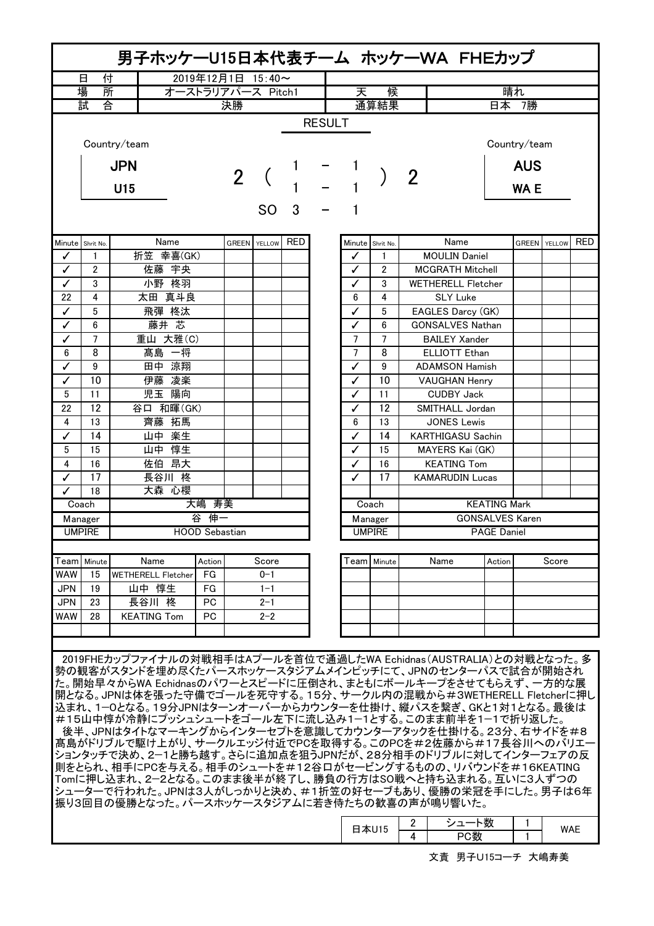| 男子ホッケーU15日本代表チーム ホッケーWA FHEカップ |                                               |                                                                                                                     |                   |                |                  |   |  |                |                  |                |                           |                        |              |        |            |  |
|--------------------------------|-----------------------------------------------|---------------------------------------------------------------------------------------------------------------------|-------------------|----------------|------------------|---|--|----------------|------------------|----------------|---------------------------|------------------------|--------------|--------|------------|--|
| 付<br>2019年12月1日 15:40~<br>日    |                                               |                                                                                                                     |                   |                |                  |   |  |                |                  |                |                           |                        |              |        |            |  |
|                                | 場<br>所                                        |                                                                                                                     | オーストラリアパース Pitch1 |                |                  |   |  | 天              | 候                |                | 晴れ                        |                        |              |        |            |  |
|                                | 試<br>合                                        |                                                                                                                     |                   | 決勝             |                  |   |  |                | 通算結果             |                | 日本 7勝                     |                        |              |        |            |  |
|                                | <b>RESULT</b><br>Country/team<br>Country/team |                                                                                                                     |                   |                |                  |   |  |                |                  |                |                           |                        |              |        |            |  |
|                                |                                               |                                                                                                                     |                   |                |                  |   |  |                |                  |                |                           |                        |              |        |            |  |
| <b>JPN</b>                     |                                               |                                                                                                                     |                   | $\overline{2}$ |                  |   |  |                |                  | $\overline{2}$ |                           |                        | <b>AUS</b>   |        |            |  |
|                                |                                               | U15                                                                                                                 |                   |                |                  |   |  |                |                  |                |                           |                        | <b>WAE</b>   |        |            |  |
|                                |                                               |                                                                                                                     |                   |                | <b>SO</b>        | 3 |  |                |                  |                |                           |                        |              |        |            |  |
| Minute Shrit No.               |                                               | Name                                                                                                                |                   |                | GREEN YELLOW RED |   |  |                | Minute Shrit No. |                | Name                      |                        | <b>GREEN</b> | YELLOW | <b>RED</b> |  |
| ✓                              | 1                                             |                                                                                                                     | 折笠 幸喜(GK)         |                |                  |   |  | ✓              | 1                |                | <b>MOULIN Daniel</b>      |                        |              |        |            |  |
| ✓                              | $\overline{2}$                                |                                                                                                                     | 佐藤 宇央             |                |                  |   |  | ✓              | $\overline{2}$   |                | <b>MCGRATH Mitchell</b>   |                        |              |        |            |  |
| $\checkmark$                   | 3                                             |                                                                                                                     | 小野 柊羽             |                |                  |   |  | ✓              | 3                |                | <b>WETHERELL Fletcher</b> |                        |              |        |            |  |
| 22                             | 4                                             |                                                                                                                     | 太田 真斗良            |                |                  |   |  | 6              | 4                |                | <b>SLY Luke</b>           |                        |              |        |            |  |
| ✓                              | 5                                             |                                                                                                                     | 飛彈 柊汰             |                |                  |   |  | ✓              | 5                |                | EAGLES Darcy (GK)         |                        |              |        |            |  |
| ✓                              | 6                                             |                                                                                                                     | 藤井 芯              |                |                  |   |  | ✓              | 6                |                | <b>GONSALVES Nathan</b>   |                        |              |        |            |  |
| $\checkmark$                   | $\overline{7}$                                |                                                                                                                     | 重山 大雅(C)          |                |                  |   |  | $\overline{7}$ | $\overline{7}$   |                | <b>BAILEY Xander</b>      |                        |              |        |            |  |
| 6                              | 8                                             | 髙島 一将                                                                                                               |                   |                |                  |   |  | $\overline{7}$ | 8                |                | <b>ELLIOTT Ethan</b>      |                        |              |        |            |  |
| ✓                              | 9                                             | 田中 涼翔                                                                                                               |                   |                |                  |   |  | ✓              | 9                |                | <b>ADAMSON Hamish</b>     |                        |              |        |            |  |
| ✓                              | 10                                            | 伊藤 凌楽                                                                                                               |                   |                |                  |   |  | ✓              | 10               |                | <b>VAUGHAN Henry</b>      |                        |              |        |            |  |
| 5                              | 11                                            | 児玉 陽向                                                                                                               |                   |                |                  |   |  | ✓              | 11               |                | <b>CUDBY Jack</b>         |                        |              |        |            |  |
| 22                             | 12                                            | 谷口 和暉(GK)                                                                                                           |                   |                |                  |   |  | ✓              | 12               |                | SMITHALL Jordan           |                        |              |        |            |  |
| $\overline{4}$                 | 13                                            | 齊藤 拓馬                                                                                                               |                   |                |                  |   |  | 6              | 13               |                | <b>JONES Lewis</b>        |                        |              |        |            |  |
| ✓                              | 14                                            | 山中 楽生                                                                                                               |                   |                |                  |   |  | ✓              | 14               |                | KARTHIGASU Sachin         |                        |              |        |            |  |
| 5                              | 15                                            | 山中 惇生                                                                                                               |                   |                |                  |   |  | ✓              | 15               |                | MAYERS Kai (GK)           |                        |              |        |            |  |
| 4                              | 16                                            | 佐伯 昂大                                                                                                               |                   |                |                  |   |  | ✓              | 16               |                | <b>KEATING Tom</b>        |                        |              |        |            |  |
| $\checkmark$                   | 17                                            | 長谷川 柊                                                                                                               |                   |                |                  |   |  | ✓              | 17               |                | <b>KAMARUDIN Lucas</b>    |                        |              |        |            |  |
| ✓                              | 18                                            | 大森心櫻                                                                                                                |                   |                |                  |   |  |                |                  |                |                           |                        |              |        |            |  |
| Coach                          |                                               |                                                                                                                     | 大嶋                | 寿美             |                  |   |  |                | Coach            |                |                           | <b>KEATING Mark</b>    |              |        |            |  |
|                                | Manager                                       |                                                                                                                     | 谷伸一               |                |                  |   |  |                | Manager          |                |                           | <b>GONSALVES Karen</b> |              |        |            |  |
|                                | <b>UMPIRE</b>                                 |                                                                                                                     | HOOD Sebastian    |                |                  |   |  |                | <b>UMPIRE</b>    |                |                           | <b>PAGE Daniel</b>     |              |        |            |  |
| Team                           | Minute                                        | Name                                                                                                                | Action            |                | Score            |   |  |                | Team   Minute    |                | Name                      | Action                 |              | Score  |            |  |
| <b>WAW</b>                     | 15                                            | <b>WETHERELL Fletcher</b>                                                                                           | FG                |                | $0 - 1$          |   |  |                |                  |                |                           |                        |              |        |            |  |
| <b>JPN</b>                     | 19                                            | 山中 惇生                                                                                                               | FG                |                | $1 - 1$          |   |  |                |                  |                |                           |                        |              |        |            |  |
| <b>JPN</b>                     | 23                                            | 長谷川 柊                                                                                                               | PC                |                | $2 - 1$          |   |  |                |                  |                |                           |                        |              |        |            |  |
| <b>WAW</b>                     | 28                                            | <b>KEATING Tom</b>                                                                                                  | PC                |                | $2 - 2$          |   |  |                |                  |                |                           |                        |              |        |            |  |
|                                |                                               |                                                                                                                     |                   |                |                  |   |  |                |                  |                |                           |                        |              |        |            |  |
|                                |                                               |                                                                                                                     |                   |                |                  |   |  |                |                  |                |                           |                        |              |        |            |  |
|                                |                                               | 2019FHEカップファイナルの対戦相手はAプールを首位で通過したWA Echidnas (AUSTRALIA)との対戦となった。 多                                                 |                   |                |                  |   |  |                |                  |                |                           |                        |              |        |            |  |
|                                |                                               | 勢の観客がスタンドを埋め尽くたパースホッケースタジアムメインピッチにて、JPNのセンターパスで試合が開始され                                                              |                   |                |                  |   |  |                |                  |                |                           |                        |              |        |            |  |
|                                |                                               | た。開始早々からWA Echidnasのパワーとスピードに圧倒され、まともにボールキープをさせてもらえず、一方的な展                                                          |                   |                |                  |   |  |                |                  |                |                           |                        |              |        |            |  |
|                                |                                               | 開となる。JPNは体を張った守備でゴールを死守する。15分、サークル内の混戦から#3WETHERELL Fletcherに押し                                                     |                   |                |                  |   |  |                |                  |                |                           |                        |              |        |            |  |
|                                |                                               | 込まれ、1-0となる。19分JPNはターンオーバーからカウンターを仕掛け、縦パスを繋ぎ、GKと1対1となる。最後は                                                           |                   |                |                  |   |  |                |                  |                |                           |                        |              |        |            |  |
|                                |                                               | #15山中惇が冷静にプッシュシュートをゴール左下に流し込み1-1とする。このまま前半を1-1で折り返した。                                                               |                   |                |                  |   |  |                |                  |                |                           |                        |              |        |            |  |
|                                |                                               | 後半、JPNはタイトなマーキングからインターセプトを意識してカウンターアタックを仕掛ける。23分、右サイドを#8                                                            |                   |                |                  |   |  |                |                  |                |                           |                        |              |        |            |  |
|                                |                                               | 髙島がドリブルで駆け上がり、サークルエッジ付近でPCを取得する。このPCを#2佐藤から#17長谷川へのバリエー                                                             |                   |                |                  |   |  |                |                  |                |                           |                        |              |        |            |  |
|                                |                                               | ションタッチで決め、2-1と勝ち越す。さらに追加点を狙うJPNだが、28分相手のドリブルに対してインターフェアの反                                                           |                   |                |                  |   |  |                |                  |                |                           |                        |              |        |            |  |
|                                |                                               | 則をとられ、相手にPCを与える。相手のシュートを#12谷口がセービングするものの、リバウンドを#16KEATING<br>Tomに押し込まれ、2-2となる。このまま後半が終了し、勝負の行方はSO戦へと持ち込まれる。互いに3人ずつの |                   |                |                  |   |  |                |                  |                |                           |                        |              |        |            |  |
|                                |                                               | シューターで行われた。JPNは3人がしっかりと決め、#1折笠の好セーブもあり、優勝の栄冠を手にした。男子は6年                                                             |                   |                |                  |   |  |                |                  |                |                           |                        |              |        |            |  |
|                                |                                               | 振り3回目の優勝となった。パースホッケースタジアムに若き侍たちの歓喜の声が鳴り響いた。                                                                         |                   |                |                  |   |  |                |                  |                |                           |                        |              |        |            |  |
|                                |                                               |                                                                                                                     |                   |                |                  |   |  |                |                  |                |                           |                        |              |        |            |  |
|                                |                                               |                                                                                                                     |                   |                |                  |   |  |                | 日本U15            | 2              | シュート数                     |                        | 1            | WAE    |            |  |
|                                |                                               |                                                                                                                     |                   |                |                  |   |  |                |                  | 4              | PC数                       |                        |              |        |            |  |